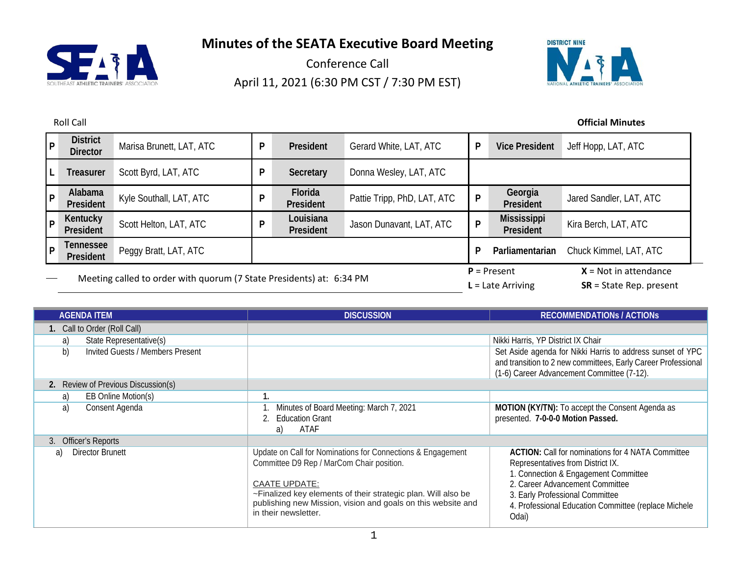

Conference Call April 11, 2021 (6:30 PM CST / 7:30 PM EST)



| $\overline{P}$ | <b>District</b><br><b>Director</b>                                   | Marisa Brunett, LAT, ATC | P | President              | Gerard White, LAT, ATC      | P | <b>Vice President</b>                | Jeff Hopp, LAT, ATC                                  |
|----------------|----------------------------------------------------------------------|--------------------------|---|------------------------|-----------------------------|---|--------------------------------------|------------------------------------------------------|
| L              | <b>Treasurer</b>                                                     | Scott Byrd, LAT, ATC     | D | Secretary              | Donna Wesley, LAT, ATC      |   |                                      |                                                      |
| $\overline{P}$ | Alabama<br>President                                                 | Kyle Southall, LAT, ATC  | D | Florida<br>President   | Pattie Tripp, PhD, LAT, ATC | P | Georgia<br>President                 | Jared Sandler, LAT, ATC                              |
| l P            | Kentucky<br>President                                                | Scott Helton, LAT, ATC   | D | Louisiana<br>President | Jason Dunavant, LAT, ATC    | P | <b>Mississippi</b><br>President      | Kira Berch, LAT, ATC                                 |
| l P            | Tennessee<br>President                                               | Peggy Bratt, LAT, ATC    |   |                        |                             |   | Parliamentarian                      | Chuck Kimmel, LAT, ATC                               |
|                | Meeting called to order with quorum (7 State Presidents) at: 6:34 PM |                          |   |                        |                             |   | $P =$ Present<br>$L =$ Late Arriving | $X = Not in attendance$<br>$SR = State Rep. present$ |

| <b>AGENDA ITEM</b>                     | <b>DISCUSSION</b>                                                                                                                                                                                                                                                                         | <b>RECOMMENDATIONS / ACTIONS</b>                                                                                                                                                                                                                                             |  |  |
|----------------------------------------|-------------------------------------------------------------------------------------------------------------------------------------------------------------------------------------------------------------------------------------------------------------------------------------------|------------------------------------------------------------------------------------------------------------------------------------------------------------------------------------------------------------------------------------------------------------------------------|--|--|
| 1. Call to Order (Roll Call)           |                                                                                                                                                                                                                                                                                           |                                                                                                                                                                                                                                                                              |  |  |
| State Representative(s)<br>a)          |                                                                                                                                                                                                                                                                                           | Nikki Harris, YP District IX Chair                                                                                                                                                                                                                                           |  |  |
| b)<br>Invited Guests / Members Present | Set Aside agenda for Nikki Harris to address sunset of YPC<br>and transition to 2 new committees, Early Career Professional<br>(1-6) Career Advancement Committee (7-12).                                                                                                                 |                                                                                                                                                                                                                                                                              |  |  |
| 2. Review of Previous Discussion(s)    |                                                                                                                                                                                                                                                                                           |                                                                                                                                                                                                                                                                              |  |  |
| EB Online Motion(s)<br>a)              |                                                                                                                                                                                                                                                                                           |                                                                                                                                                                                                                                                                              |  |  |
| a)<br>Consent Agenda                   | Minutes of Board Meeting: March 7, 2021<br>2. Education Grant<br>ATAF<br>a)                                                                                                                                                                                                               | MOTION (KY/TN): To accept the Consent Agenda as<br>presented. 7-0-0-0 Motion Passed.                                                                                                                                                                                         |  |  |
| <b>Officer's Reports</b>               |                                                                                                                                                                                                                                                                                           |                                                                                                                                                                                                                                                                              |  |  |
| Director Brunett<br>a)                 | Update on Call for Nominations for Connections & Engagement<br>Committee D9 Rep / MarCom Chair position.<br><b>CAATE UPDATE:</b><br>~Finalized key elements of their strategic plan. Will also be<br>publishing new Mission, vision and goals on this website and<br>in their newsletter. | <b>ACTION:</b> Call for nominations for 4 NATA Committee<br>Representatives from District IX.<br>1. Connection & Engagement Committee<br>2. Career Advancement Committee<br>3. Early Professional Committee<br>4. Professional Education Committee (replace Michele<br>Odai) |  |  |

#### Roll Call **Official Minutes**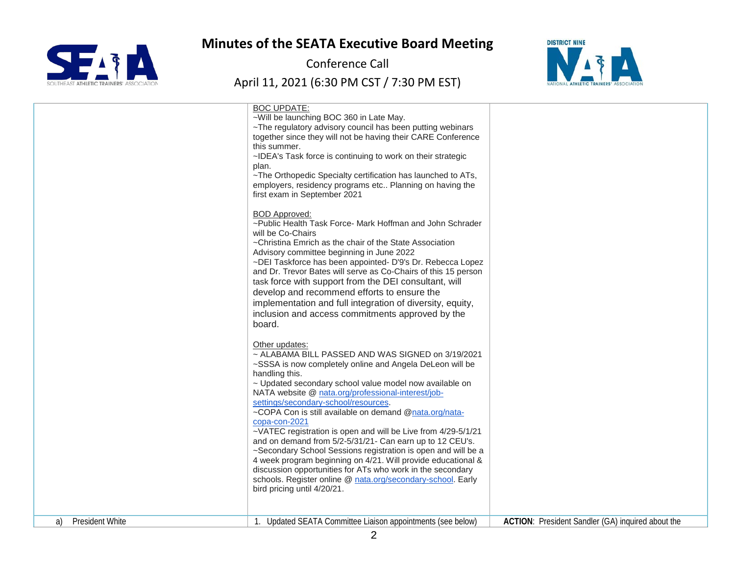

Conference Call



|                              | <b>BOC UPDATE:</b><br>~Will be launching BOC 360 in Late May.<br>~The regulatory advisory council has been putting webinars<br>together since they will not be having their CARE Conference<br>this summer.<br>~IDEA's Task force is continuing to work on their strategic<br>plan.<br>~The Orthopedic Specialty certification has launched to ATs,<br>employers, residency programs etc Planning on having the<br>first exam in September 2021                                                                                                                                                                                                                                                                                                                                                                 |                                                   |
|------------------------------|-----------------------------------------------------------------------------------------------------------------------------------------------------------------------------------------------------------------------------------------------------------------------------------------------------------------------------------------------------------------------------------------------------------------------------------------------------------------------------------------------------------------------------------------------------------------------------------------------------------------------------------------------------------------------------------------------------------------------------------------------------------------------------------------------------------------|---------------------------------------------------|
|                              | <b>BOD</b> Approved:<br>~Public Health Task Force- Mark Hoffman and John Schrader<br>will be Co-Chairs<br>~Christina Emrich as the chair of the State Association<br>Advisory committee beginning in June 2022<br>~DEI Taskforce has been appointed- D'9's Dr. Rebecca Lopez<br>and Dr. Trevor Bates will serve as Co-Chairs of this 15 person<br>task force with support from the DEI consultant, will<br>develop and recommend efforts to ensure the<br>implementation and full integration of diversity, equity,<br>inclusion and access commitments approved by the<br>board.                                                                                                                                                                                                                               |                                                   |
|                              | Other updates:<br>~ ALABAMA BILL PASSED AND WAS SIGNED on 3/19/2021<br>~SSSA is now completely online and Angela DeLeon will be<br>handling this.<br>~ Updated secondary school value model now available on<br>NATA website @ nata.org/professional-interest/job-<br>settings/secondary-school/resources.<br>~COPA Con is still available on demand @nata.org/nata-<br>copa-con-2021<br>~VATEC registration is open and will be Live from 4/29-5/1/21<br>and on demand from 5/2-5/31/21- Can earn up to 12 CEU's.<br>~Secondary School Sessions registration is open and will be a<br>4 week program beginning on 4/21. Will provide educational &<br>discussion opportunities for ATs who work in the secondary<br>schools. Register online @ nata.org/secondary-school. Early<br>bird pricing until 4/20/21. |                                                   |
| <b>President White</b><br>a) | Updated SEATA Committee Liaison appointments (see below)                                                                                                                                                                                                                                                                                                                                                                                                                                                                                                                                                                                                                                                                                                                                                        | ACTION: President Sandler (GA) inquired about the |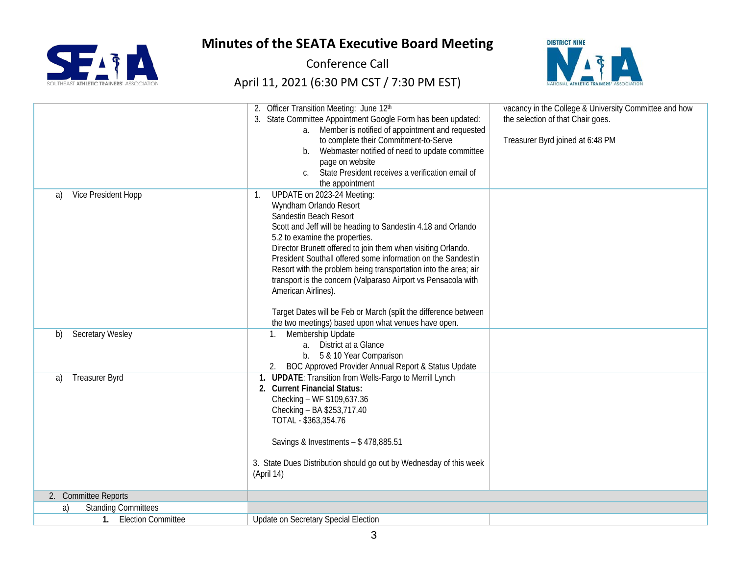

Conference Call



|                                  | 2. Officer Transition Meeting: June 12th                                   | vacancy in the College & University Committee and how |
|----------------------------------|----------------------------------------------------------------------------|-------------------------------------------------------|
|                                  | 3. State Committee Appointment Google Form has been updated:               | the selection of that Chair goes.                     |
|                                  | a. Member is notified of appointment and requested                         |                                                       |
|                                  | to complete their Commitment-to-Serve                                      | Treasurer Byrd joined at 6:48 PM                      |
|                                  | b. Webmaster notified of need to update committee                          |                                                       |
|                                  | page on website                                                            |                                                       |
|                                  | State President receives a verification email of                           |                                                       |
|                                  | the appointment                                                            |                                                       |
| Vice President Hopp<br>a)        | UPDATE on 2023-24 Meeting:<br>$\mathbf{1}$ .                               |                                                       |
|                                  | Wyndham Orlando Resort                                                     |                                                       |
|                                  | Sandestin Beach Resort                                                     |                                                       |
|                                  | Scott and Jeff will be heading to Sandestin 4.18 and Orlando               |                                                       |
|                                  | 5.2 to examine the properties.                                             |                                                       |
|                                  | Director Brunett offered to join them when visiting Orlando.               |                                                       |
|                                  | President Southall offered some information on the Sandestin               |                                                       |
|                                  | Resort with the problem being transportation into the area; air            |                                                       |
|                                  | transport is the concern (Valparaso Airport vs Pensacola with              |                                                       |
|                                  | American Airlines).                                                        |                                                       |
|                                  |                                                                            |                                                       |
|                                  | Target Dates will be Feb or March (split the difference between            |                                                       |
|                                  | the two meetings) based upon what venues have open.                        |                                                       |
| <b>Secretary Wesley</b><br>b)    | 1. Membership Update                                                       |                                                       |
|                                  | a. District at a Glance                                                    |                                                       |
|                                  | 5 & 10 Year Comparison<br>$b_{\cdot}$                                      |                                                       |
|                                  | BOC Approved Provider Annual Report & Status Update                        |                                                       |
| <b>Treasurer Byrd</b><br>a)      | <b>UPDATE:</b> Transition from Wells-Fargo to Merrill Lynch<br>$1_{\cdot}$ |                                                       |
|                                  | 2. Current Financial Status:                                               |                                                       |
|                                  | Checking - WF \$109,637.36                                                 |                                                       |
|                                  | Checking - BA \$253,717.40                                                 |                                                       |
|                                  | TOTAL - \$363,354.76                                                       |                                                       |
|                                  |                                                                            |                                                       |
|                                  | Savings & Investments - \$478,885.51                                       |                                                       |
|                                  |                                                                            |                                                       |
|                                  | 3. State Dues Distribution should go out by Wednesday of this week         |                                                       |
|                                  | (April 14)                                                                 |                                                       |
|                                  |                                                                            |                                                       |
| 2. Committee Reports             |                                                                            |                                                       |
| <b>Standing Committees</b><br>a) |                                                                            |                                                       |
| 1. Election Committee            | Update on Secretary Special Election                                       |                                                       |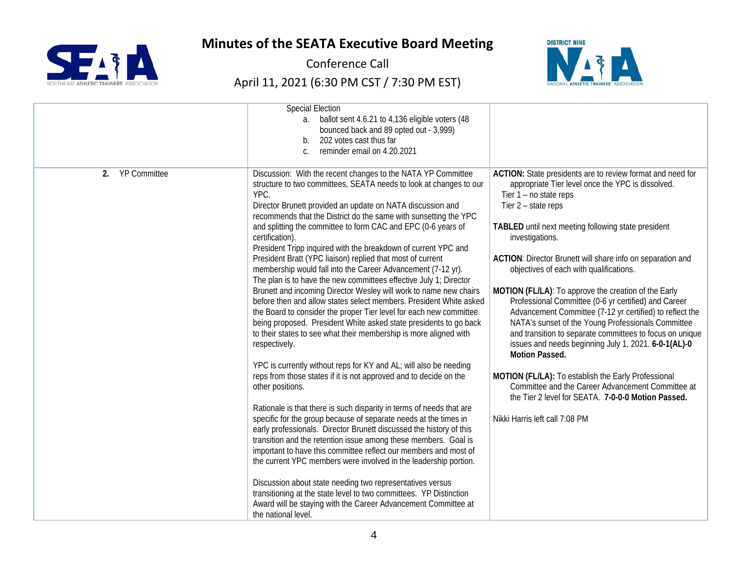

Conference Call



|                           | <b>Special Election</b><br>ballot sent 4.6.21 to 4,136 eligible voters (48<br>$a_{\cdot}$<br>bounced back and 89 opted out - 3,999)<br>202 votes cast thus far<br>b.<br>reminder email on 4.20.2021<br>$\mathcal{C}$ .                                                                                                                                                                                                                                                                                                                                                                                                                                                                                                                                                                                                                                                                                                                                                                                                                                                                                                                                                                                                                                                                                                                                                                                                                                                                                                                                                                                                                                                                                                                                                                                                                    |                                                                                                                                                                                                                                                                                                                                                                                                                                                                                                                                                                                                                                                                                                                                                                                                                                                                                                                                   |
|---------------------------|-------------------------------------------------------------------------------------------------------------------------------------------------------------------------------------------------------------------------------------------------------------------------------------------------------------------------------------------------------------------------------------------------------------------------------------------------------------------------------------------------------------------------------------------------------------------------------------------------------------------------------------------------------------------------------------------------------------------------------------------------------------------------------------------------------------------------------------------------------------------------------------------------------------------------------------------------------------------------------------------------------------------------------------------------------------------------------------------------------------------------------------------------------------------------------------------------------------------------------------------------------------------------------------------------------------------------------------------------------------------------------------------------------------------------------------------------------------------------------------------------------------------------------------------------------------------------------------------------------------------------------------------------------------------------------------------------------------------------------------------------------------------------------------------------------------------------------------------|-----------------------------------------------------------------------------------------------------------------------------------------------------------------------------------------------------------------------------------------------------------------------------------------------------------------------------------------------------------------------------------------------------------------------------------------------------------------------------------------------------------------------------------------------------------------------------------------------------------------------------------------------------------------------------------------------------------------------------------------------------------------------------------------------------------------------------------------------------------------------------------------------------------------------------------|
| <b>YP Committee</b><br>2. | Discussion: With the recent changes to the NATA YP Committee<br>structure to two committees, SEATA needs to look at changes to our<br>YPC.<br>Director Brunett provided an update on NATA discussion and<br>recommends that the District do the same with sunsetting the YPC<br>and splitting the committee to form CAC and EPC (0-6 years of<br>certification).<br>President Tripp inquired with the breakdown of current YPC and<br>President Bratt (YPC liaison) replied that most of current<br>membership would fall into the Career Advancement (7-12 yr).<br>The plan is to have the new committees effective July 1; Director<br>Brunett and incoming Director Wesley will work to name new chairs<br>before then and allow states select members. President White asked<br>the Board to consider the proper Tier level for each new committee<br>being proposed. President White asked state presidents to go back<br>to their states to see what their membership is more aligned with<br>respectively.<br>YPC is currently without reps for KY and AL; will also be needing<br>reps from those states if it is not approved and to decide on the<br>other positions.<br>Rationale is that there is such disparity in terms of needs that are<br>specific for the group because of separate needs at the times in<br>early professionals. Director Brunett discussed the history of this<br>transition and the retention issue among these members. Goal is<br>important to have this committee reflect our members and most of<br>the current YPC members were involved in the leadership portion.<br>Discussion about state needing two representatives versus<br>transitioning at the state level to two committees. YP Distinction<br>Award will be staying with the Career Advancement Committee at<br>the national level. | ACTION: State presidents are to review format and need for<br>appropriate Tier level once the YPC is dissolved.<br>Tier $1 - no$ state reps<br>Tier 2 - state reps<br>TABLED until next meeting following state president<br>investigations.<br>ACTION: Director Brunett will share info on separation and<br>objectives of each with qualifications.<br>MOTION (FL/LA): To approve the creation of the Early<br>Professional Committee (0-6 yr certified) and Career<br>Advancement Committee (7-12 yr certified) to reflect the<br>NATA's sunset of the Young Professionals Committee<br>and transition to separate committees to focus on unique<br>issues and needs beginning July 1, 2021. 6-0-1(AL)-0<br>Motion Passed.<br>MOTION (FL/LA): To establish the Early Professional<br>Committee and the Career Advancement Committee at<br>the Tier 2 level for SEATA. 7-0-0-0 Motion Passed.<br>Nikki Harris left call 7:08 PM |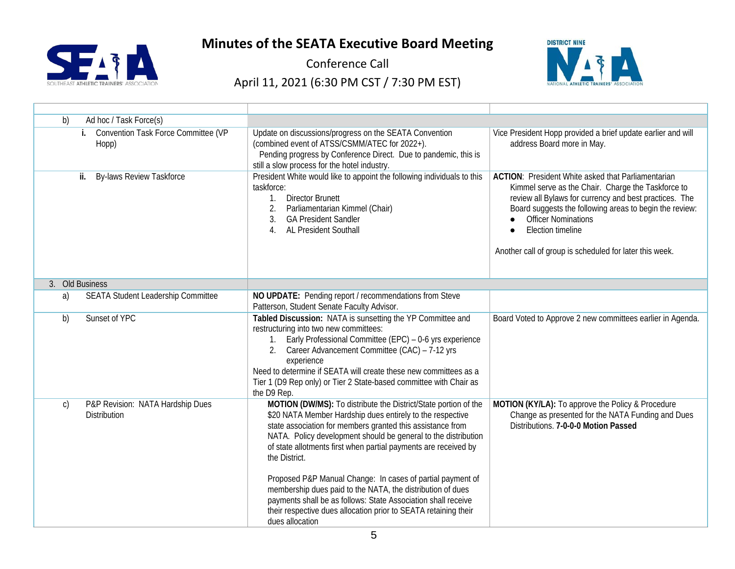

Conference Call



| Ad hoc / Task Force(s)<br>b)                                            |                                                                                                                                                                                                                                                                                                                                                                                                                                                                                                                                                                                                                                     |                                                                                                                                                                                                                                                                                                                                                           |
|-------------------------------------------------------------------------|-------------------------------------------------------------------------------------------------------------------------------------------------------------------------------------------------------------------------------------------------------------------------------------------------------------------------------------------------------------------------------------------------------------------------------------------------------------------------------------------------------------------------------------------------------------------------------------------------------------------------------------|-----------------------------------------------------------------------------------------------------------------------------------------------------------------------------------------------------------------------------------------------------------------------------------------------------------------------------------------------------------|
| i. Convention Task Force Committee (VP<br>Hopp)                         | Update on discussions/progress on the SEATA Convention<br>(combined event of ATSS/CSMM/ATEC for 2022+).<br>Pending progress by Conference Direct. Due to pandemic, this is<br>still a slow process for the hotel industry.                                                                                                                                                                                                                                                                                                                                                                                                          | Vice President Hopp provided a brief update earlier and will<br>address Board more in May.                                                                                                                                                                                                                                                                |
| <b>By-laws Review Taskforce</b><br>ii.                                  | President White would like to appoint the following individuals to this<br>taskforce:<br><b>Director Brunett</b><br>$1_{\cdot}$<br>Parliamentarian Kimmel (Chair)<br>2.<br><b>GA President Sandler</b><br>3.<br>AL President Southall<br>4.                                                                                                                                                                                                                                                                                                                                                                                         | <b>ACTION:</b> President White asked that Parliamentarian<br>Kimmel serve as the Chair. Charge the Taskforce to<br>review all Bylaws for currency and best practices. The<br>Board suggests the following areas to begin the review:<br><b>Officer Nominations</b><br><b>Election timeline</b><br>Another call of group is scheduled for later this week. |
| 3. Old Business                                                         |                                                                                                                                                                                                                                                                                                                                                                                                                                                                                                                                                                                                                                     |                                                                                                                                                                                                                                                                                                                                                           |
| <b>SEATA Student Leadership Committee</b><br>a)                         | NO UPDATE: Pending report / recommendations from Steve<br>Patterson, Student Senate Faculty Advisor.                                                                                                                                                                                                                                                                                                                                                                                                                                                                                                                                |                                                                                                                                                                                                                                                                                                                                                           |
| Sunset of YPC<br>b)                                                     | Tabled Discussion: NATA is sunsetting the YP Committee and<br>restructuring into two new committees:<br>1. Early Professional Committee (EPC) - 0-6 yrs experience<br>2. Career Advancement Committee (CAC) - 7-12 yrs<br>experience<br>Need to determine if SEATA will create these new committees as a<br>Tier 1 (D9 Rep only) or Tier 2 State-based committee with Chair as<br>the D9 Rep.                                                                                                                                                                                                                                       | Board Voted to Approve 2 new committees earlier in Agenda.                                                                                                                                                                                                                                                                                                |
| P&P Revision: NATA Hardship Dues<br>$\mathsf{C}$<br><b>Distribution</b> | MOTION (DW/MS): To distribute the District/State portion of the<br>\$20 NATA Member Hardship dues entirely to the respective<br>state association for members granted this assistance from<br>NATA. Policy development should be general to the distribution<br>of state allotments first when partial payments are received by<br>the District.<br>Proposed P&P Manual Change: In cases of partial payment of<br>membership dues paid to the NATA, the distribution of dues<br>payments shall be as follows: State Association shall receive<br>their respective dues allocation prior to SEATA retaining their<br>dues allocation | MOTION (KY/LA): To approve the Policy & Procedure<br>Change as presented for the NATA Funding and Dues<br>Distributions. 7-0-0-0 Motion Passed                                                                                                                                                                                                            |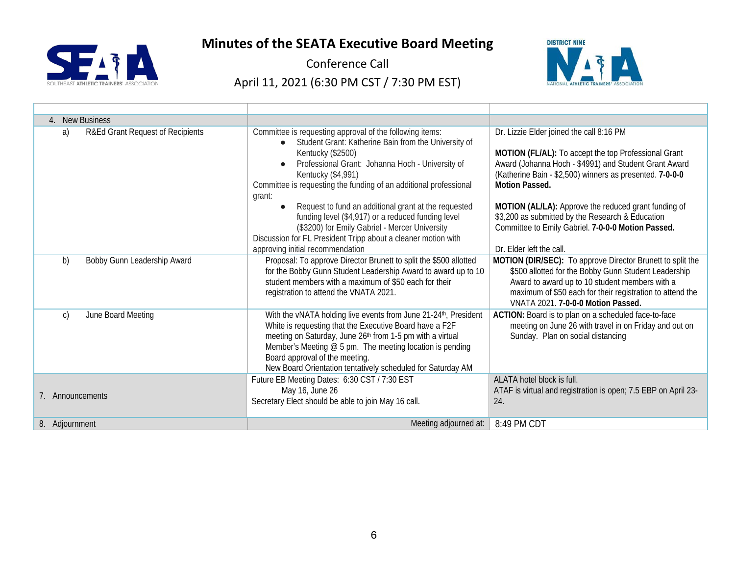

Conference Call



| 4. New Business                        |                                                                                                                                                                                                                                                                                                                                                                                                                                                                                                                                                                     |                                                                                                                                                                                                                                                                                                                                                                                                                                              |  |  |
|----------------------------------------|---------------------------------------------------------------------------------------------------------------------------------------------------------------------------------------------------------------------------------------------------------------------------------------------------------------------------------------------------------------------------------------------------------------------------------------------------------------------------------------------------------------------------------------------------------------------|----------------------------------------------------------------------------------------------------------------------------------------------------------------------------------------------------------------------------------------------------------------------------------------------------------------------------------------------------------------------------------------------------------------------------------------------|--|--|
| R&Ed Grant Request of Recipients<br>a) | Committee is requesting approval of the following items:<br>Student Grant: Katherine Bain from the University of<br>Kentucky (\$2500)<br>Professional Grant: Johanna Hoch - University of<br>Kentucky (\$4,991)<br>Committee is requesting the funding of an additional professional<br>grant:<br>Request to fund an additional grant at the requested<br>funding level (\$4,917) or a reduced funding level<br>(\$3200) for Emily Gabriel - Mercer University<br>Discussion for FL President Tripp about a cleaner motion with<br>approving initial recommendation | Dr. Lizzie Elder joined the call 8:16 PM<br>MOTION (FL/AL): To accept the top Professional Grant<br>Award (Johanna Hoch - \$4991) and Student Grant Award<br>(Katherine Bain - \$2,500) winners as presented. 7-0-0-0<br><b>Motion Passed.</b><br>MOTION (AL/LA): Approve the reduced grant funding of<br>\$3,200 as submitted by the Research & Education<br>Committee to Emily Gabriel. 7-0-0-0 Motion Passed.<br>Dr. Elder left the call. |  |  |
| b)<br>Bobby Gunn Leadership Award      | Proposal: To approve Director Brunett to split the \$500 allotted<br>for the Bobby Gunn Student Leadership Award to award up to 10<br>student members with a maximum of \$50 each for their<br>registration to attend the VNATA 2021.                                                                                                                                                                                                                                                                                                                               | MOTION (DIR/SEC): To approve Director Brunett to split the<br>\$500 allotted for the Bobby Gunn Student Leadership<br>Award to award up to 10 student members with a<br>maximum of \$50 each for their registration to attend the<br>VNATA 2021. 7-0-0-0 Motion Passed.                                                                                                                                                                      |  |  |
| June Board Meeting<br>$\mathsf{C}$     | With the vNATA holding live events from June 21-24 <sup>th</sup> , President<br>White is requesting that the Executive Board have a F2F<br>meeting on Saturday, June 26th from 1-5 pm with a virtual<br>Member's Meeting @ 5 pm. The meeting location is pending<br>Board approval of the meeting.<br>New Board Orientation tentatively scheduled for Saturday AM                                                                                                                                                                                                   | ACTION: Board is to plan on a scheduled face-to-face<br>meeting on June 26 with travel in on Friday and out on<br>Sunday. Plan on social distancing                                                                                                                                                                                                                                                                                          |  |  |
| 7. Announcements                       | Future EB Meeting Dates: 6:30 CST / 7:30 EST<br>May 16, June 26<br>Secretary Elect should be able to join May 16 call.                                                                                                                                                                                                                                                                                                                                                                                                                                              | ALATA hotel block is full.<br>ATAF is virtual and registration is open; 7.5 EBP on April 23-<br>24.                                                                                                                                                                                                                                                                                                                                          |  |  |
| 8. Adjournment                         | Meeting adjourned at:                                                                                                                                                                                                                                                                                                                                                                                                                                                                                                                                               | 8:49 PM CDT                                                                                                                                                                                                                                                                                                                                                                                                                                  |  |  |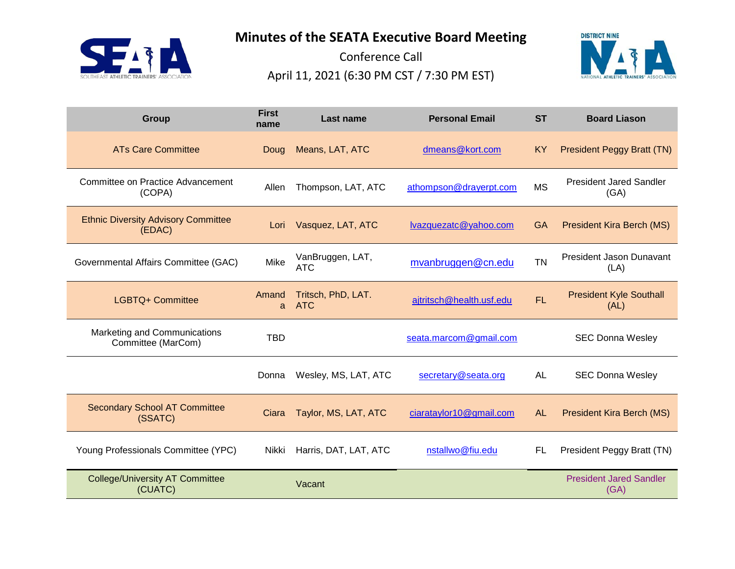**SEAT** T ATHLETIC TRAINERS' AS **Minutes of the SEATA Executive Board Meeting**

Conference Call April 11, 2021 (6:30 PM CST / 7:30 PM EST)



| <b>Group</b>                                         | <b>First</b><br>name | Last name                        | <b>Personal Email</b>    | <b>ST</b> | <b>Board Liason</b>                    |
|------------------------------------------------------|----------------------|----------------------------------|--------------------------|-----------|----------------------------------------|
| <b>ATs Care Committee</b>                            | Doug                 | Means, LAT, ATC                  | dmeans@kort.com          | <b>KY</b> | <b>President Peggy Bratt (TN)</b>      |
| Committee on Practice Advancement<br>(COPA)          | Allen                | Thompson, LAT, ATC               | athompson@drayerpt.com   | <b>MS</b> | <b>President Jared Sandler</b><br>(GA) |
| <b>Ethnic Diversity Advisory Committee</b><br>(EDAC) | Lori                 | Vasquez, LAT, ATC                | lvazquezatc@yahoo.com    | <b>GA</b> | <b>President Kira Berch (MS)</b>       |
| Governmental Affairs Committee (GAC)                 | Mike                 | VanBruggen, LAT,<br><b>ATC</b>   | mvanbruggen@cn.edu       | <b>TN</b> | President Jason Dunavant<br>(LA)       |
| LGBTQ+ Committee                                     | Amand<br>a           | Tritsch, PhD, LAT.<br><b>ATC</b> | ajtritsch@health.usf.edu | <b>FL</b> | <b>President Kyle Southall</b><br>(AL) |
| Marketing and Communications<br>Committee (MarCom)   | <b>TBD</b>           |                                  | seata.marcom@gmail.com   |           | <b>SEC Donna Wesley</b>                |
|                                                      | Donna                | Wesley, MS, LAT, ATC             | secretary@seata.org      | <b>AL</b> | <b>SEC Donna Wesley</b>                |
| <b>Secondary School AT Committee</b><br>(SSATC)      | Ciara                | Taylor, MS, LAT, ATC             | ciarataylor10@gmail.com  | <b>AL</b> | <b>President Kira Berch (MS)</b>       |
| Young Professionals Committee (YPC)                  | Nikki                | Harris, DAT, LAT, ATC            | nstallwo@fiu.edu         | FL        | President Peggy Bratt (TN)             |
| <b>College/University AT Committee</b><br>(CUATC)    |                      | Vacant                           |                          |           | <b>President Jared Sandler</b><br>(GA) |